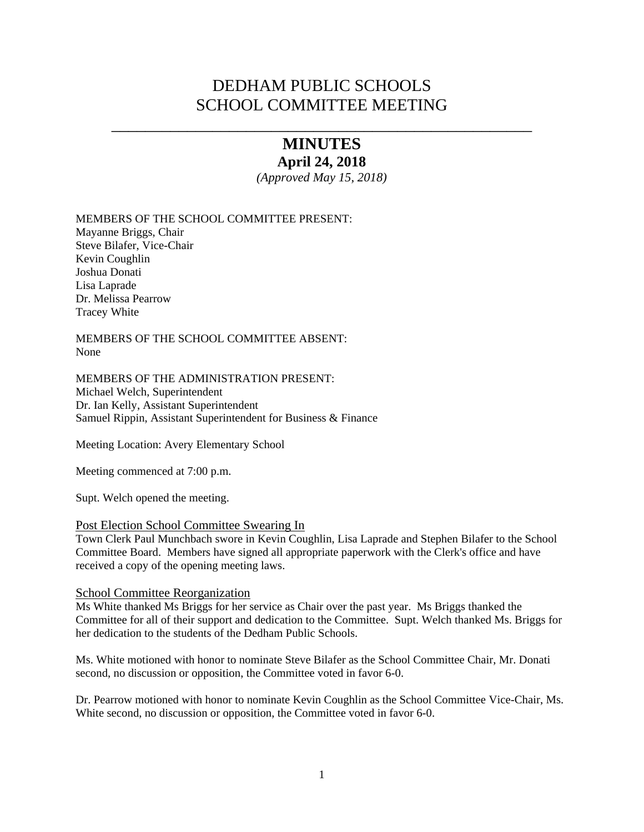# DEDHAM PUBLIC SCHOOLS SCHOOL COMMITTEE MEETING

# \_\_\_\_\_\_\_\_\_\_\_\_\_\_\_\_\_\_\_\_\_\_\_\_\_\_\_\_\_\_\_\_\_\_\_\_\_\_\_\_\_\_\_\_\_\_\_\_\_\_ **MINUTES**

### **April 24, 2018**

*(Approved May 15, 2018)* 

MEMBERS OF THE SCHOOL COMMITTEE PRESENT: Mayanne Briggs, Chair Steve Bilafer, Vice-Chair Kevin Coughlin Joshua Donati

Lisa Laprade Dr. Melissa Pearrow Tracey White

MEMBERS OF THE SCHOOL COMMITTEE ABSENT: None

MEMBERS OF THE ADMINISTRATION PRESENT: Michael Welch, Superintendent Dr. Ian Kelly, Assistant Superintendent Samuel Rippin, Assistant Superintendent for Business & Finance

Meeting Location: Avery Elementary School

Meeting commenced at 7:00 p.m.

Supt. Welch opened the meeting.

### Post Election School Committee Swearing In

Town Clerk Paul Munchbach swore in Kevin Coughlin, Lisa Laprade and Stephen Bilafer to the School Committee Board. Members have signed all appropriate paperwork with the Clerk's office and have received a copy of the opening meeting laws.

### School Committee Reorganization

Ms White thanked Ms Briggs for her service as Chair over the past year. Ms Briggs thanked the Committee for all of their support and dedication to the Committee. Supt. Welch thanked Ms. Briggs for her dedication to the students of the Dedham Public Schools.

Ms. White motioned with honor to nominate Steve Bilafer as the School Committee Chair, Mr. Donati second, no discussion or opposition, the Committee voted in favor 6-0.

Dr. Pearrow motioned with honor to nominate Kevin Coughlin as the School Committee Vice-Chair, Ms. White second, no discussion or opposition, the Committee voted in favor 6-0.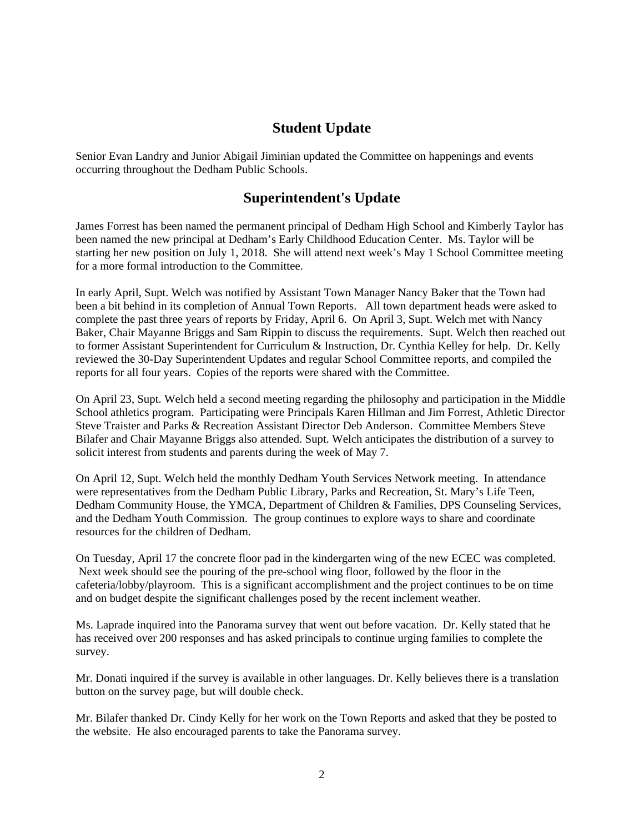## **Student Update**

Senior Evan Landry and Junior Abigail Jiminian updated the Committee on happenings and events occurring throughout the Dedham Public Schools.

# **Superintendent's Update**

James Forrest has been named the permanent principal of Dedham High School and Kimberly Taylor has been named the new principal at Dedham's Early Childhood Education Center. Ms. Taylor will be starting her new position on July 1, 2018. She will attend next week's May 1 School Committee meeting for a more formal introduction to the Committee.

In early April, Supt. Welch was notified by Assistant Town Manager Nancy Baker that the Town had been a bit behind in its completion of Annual Town Reports. All town department heads were asked to complete the past three years of reports by Friday, April 6. On April 3, Supt. Welch met with Nancy Baker, Chair Mayanne Briggs and Sam Rippin to discuss the requirements. Supt. Welch then reached out to former Assistant Superintendent for Curriculum & Instruction, Dr. Cynthia Kelley for help. Dr. Kelly reviewed the 30-Day Superintendent Updates and regular School Committee reports, and compiled the reports for all four years. Copies of the reports were shared with the Committee.

On April 23, Supt. Welch held a second meeting regarding the philosophy and participation in the Middle School athletics program. Participating were Principals Karen Hillman and Jim Forrest, Athletic Director Steve Traister and Parks & Recreation Assistant Director Deb Anderson. Committee Members Steve Bilafer and Chair Mayanne Briggs also attended. Supt. Welch anticipates the distribution of a survey to solicit interest from students and parents during the week of May 7.

On April 12, Supt. Welch held the monthly Dedham Youth Services Network meeting. In attendance were representatives from the Dedham Public Library, Parks and Recreation, St. Mary's Life Teen, Dedham Community House, the YMCA, Department of Children & Families, DPS Counseling Services, and the Dedham Youth Commission. The group continues to explore ways to share and coordinate resources for the children of Dedham.

On Tuesday, April 17 the concrete floor pad in the kindergarten wing of the new ECEC was completed. Next week should see the pouring of the pre-school wing floor, followed by the floor in the cafeteria/lobby/playroom. This is a significant accomplishment and the project continues to be on time and on budget despite the significant challenges posed by the recent inclement weather.

Ms. Laprade inquired into the Panorama survey that went out before vacation. Dr. Kelly stated that he has received over 200 responses and has asked principals to continue urging families to complete the survey.

Mr. Donati inquired if the survey is available in other languages. Dr. Kelly believes there is a translation button on the survey page, but will double check.

Mr. Bilafer thanked Dr. Cindy Kelly for her work on the Town Reports and asked that they be posted to the website. He also encouraged parents to take the Panorama survey.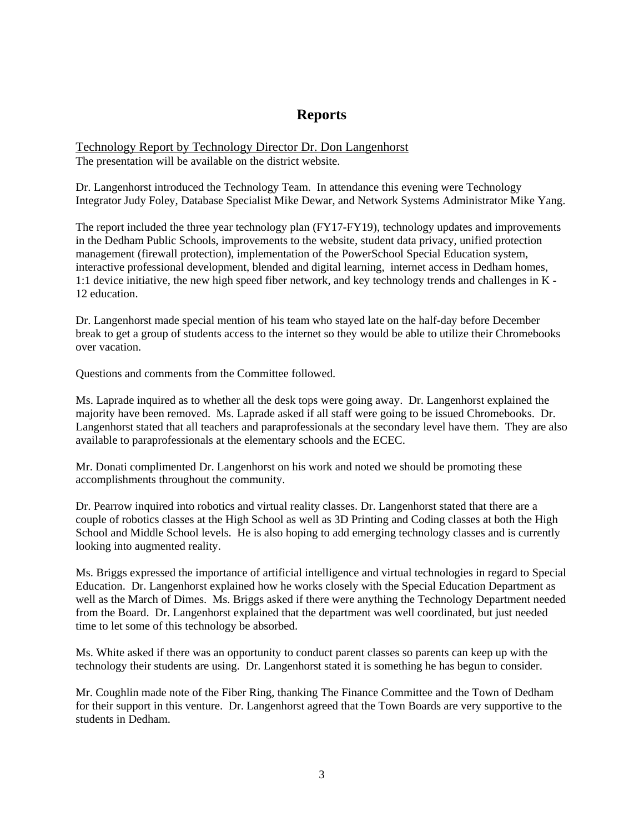# **Reports**

Technology Report by Technology Director Dr. Don Langenhorst The presentation will be available on the district website.

Dr. Langenhorst introduced the Technology Team. In attendance this evening were Technology Integrator Judy Foley, Database Specialist Mike Dewar, and Network Systems Administrator Mike Yang.

The report included the three year technology plan (FY17-FY19), technology updates and improvements in the Dedham Public Schools, improvements to the website, student data privacy, unified protection management (firewall protection), implementation of the PowerSchool Special Education system, interactive professional development, blended and digital learning, internet access in Dedham homes, 1:1 device initiative, the new high speed fiber network, and key technology trends and challenges in K - 12 education.

Dr. Langenhorst made special mention of his team who stayed late on the half-day before December break to get a group of students access to the internet so they would be able to utilize their Chromebooks over vacation.

Questions and comments from the Committee followed.

Ms. Laprade inquired as to whether all the desk tops were going away. Dr. Langenhorst explained the majority have been removed. Ms. Laprade asked if all staff were going to be issued Chromebooks. Dr. Langenhorst stated that all teachers and paraprofessionals at the secondary level have them. They are also available to paraprofessionals at the elementary schools and the ECEC.

Mr. Donati complimented Dr. Langenhorst on his work and noted we should be promoting these accomplishments throughout the community.

Dr. Pearrow inquired into robotics and virtual reality classes. Dr. Langenhorst stated that there are a couple of robotics classes at the High School as well as 3D Printing and Coding classes at both the High School and Middle School levels. He is also hoping to add emerging technology classes and is currently looking into augmented reality.

Ms. Briggs expressed the importance of artificial intelligence and virtual technologies in regard to Special Education. Dr. Langenhorst explained how he works closely with the Special Education Department as well as the March of Dimes. Ms. Briggs asked if there were anything the Technology Department needed from the Board. Dr. Langenhorst explained that the department was well coordinated, but just needed time to let some of this technology be absorbed.

Ms. White asked if there was an opportunity to conduct parent classes so parents can keep up with the technology their students are using. Dr. Langenhorst stated it is something he has begun to consider.

Mr. Coughlin made note of the Fiber Ring, thanking The Finance Committee and the Town of Dedham for their support in this venture. Dr. Langenhorst agreed that the Town Boards are very supportive to the students in Dedham.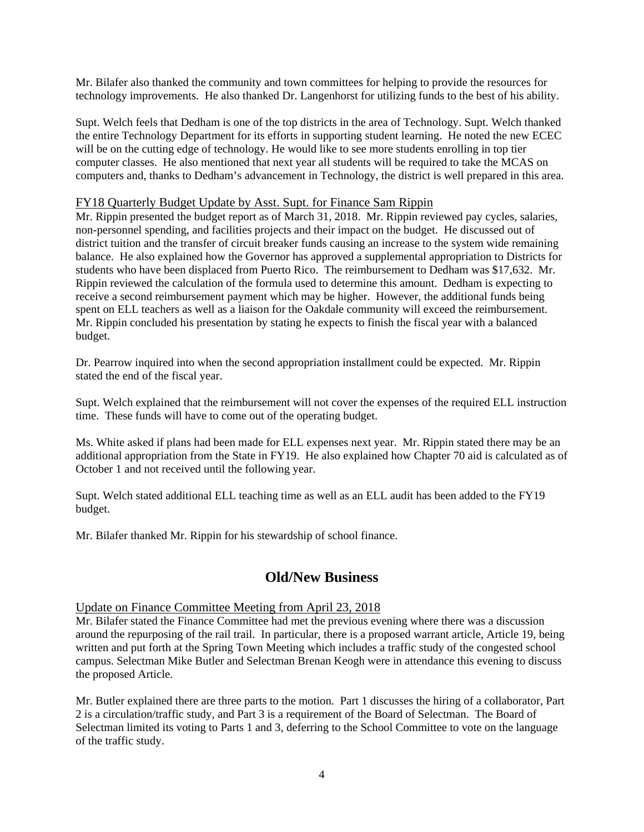Mr. Bilafer also thanked the community and town committees for helping to provide the resources for technology improvements. He also thanked Dr. Langenhorst for utilizing funds to the best of his ability.

Supt. Welch feels that Dedham is one of the top districts in the area of Technology. Supt. Welch thanked the entire Technology Department for its efforts in supporting student learning. He noted the new ECEC will be on the cutting edge of technology. He would like to see more students enrolling in top tier computer classes. He also mentioned that next year all students will be required to take the MCAS on computers and, thanks to Dedham's advancement in Technology, the district is well prepared in this area.

### FY18 Quarterly Budget Update by Asst. Supt. for Finance Sam Rippin

Mr. Rippin presented the budget report as of March 31, 2018. Mr. Rippin reviewed pay cycles, salaries, non-personnel spending, and facilities projects and their impact on the budget. He discussed out of district tuition and the transfer of circuit breaker funds causing an increase to the system wide remaining balance. He also explained how the Governor has approved a supplemental appropriation to Districts for students who have been displaced from Puerto Rico. The reimbursement to Dedham was \$17,632. Mr. Rippin reviewed the calculation of the formula used to determine this amount. Dedham is expecting to receive a second reimbursement payment which may be higher. However, the additional funds being spent on ELL teachers as well as a liaison for the Oakdale community will exceed the reimbursement. Mr. Rippin concluded his presentation by stating he expects to finish the fiscal year with a balanced budget.

Dr. Pearrow inquired into when the second appropriation installment could be expected. Mr. Rippin stated the end of the fiscal year.

Supt. Welch explained that the reimbursement will not cover the expenses of the required ELL instruction time. These funds will have to come out of the operating budget.

Ms. White asked if plans had been made for ELL expenses next year. Mr. Rippin stated there may be an additional appropriation from the State in FY19. He also explained how Chapter 70 aid is calculated as of October 1 and not received until the following year.

Supt. Welch stated additional ELL teaching time as well as an ELL audit has been added to the FY19 budget.

Mr. Bilafer thanked Mr. Rippin for his stewardship of school finance.

### **Old/New Business**

### Update on Finance Committee Meeting from April 23, 2018

Mr. Bilafer stated the Finance Committee had met the previous evening where there was a discussion around the repurposing of the rail trail. In particular, there is a proposed warrant article, Article 19, being written and put forth at the Spring Town Meeting which includes a traffic study of the congested school campus. Selectman Mike Butler and Selectman Brenan Keogh were in attendance this evening to discuss the proposed Article.

Mr. Butler explained there are three parts to the motion. Part 1 discusses the hiring of a collaborator, Part 2 is a circulation/traffic study, and Part 3 is a requirement of the Board of Selectman. The Board of Selectman limited its voting to Parts 1 and 3, deferring to the School Committee to vote on the language of the traffic study.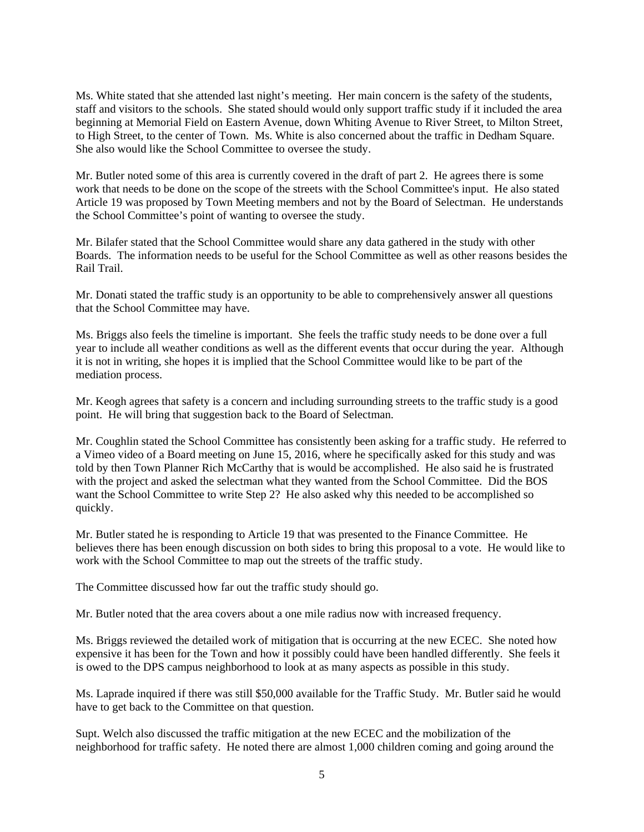Ms. White stated that she attended last night's meeting. Her main concern is the safety of the students, staff and visitors to the schools. She stated should would only support traffic study if it included the area beginning at Memorial Field on Eastern Avenue, down Whiting Avenue to River Street, to Milton Street, to High Street, to the center of Town. Ms. White is also concerned about the traffic in Dedham Square. She also would like the School Committee to oversee the study.

Mr. Butler noted some of this area is currently covered in the draft of part 2. He agrees there is some work that needs to be done on the scope of the streets with the School Committee's input. He also stated Article 19 was proposed by Town Meeting members and not by the Board of Selectman. He understands the School Committee's point of wanting to oversee the study.

Mr. Bilafer stated that the School Committee would share any data gathered in the study with other Boards. The information needs to be useful for the School Committee as well as other reasons besides the Rail Trail.

Mr. Donati stated the traffic study is an opportunity to be able to comprehensively answer all questions that the School Committee may have.

Ms. Briggs also feels the timeline is important. She feels the traffic study needs to be done over a full year to include all weather conditions as well as the different events that occur during the year. Although it is not in writing, she hopes it is implied that the School Committee would like to be part of the mediation process.

Mr. Keogh agrees that safety is a concern and including surrounding streets to the traffic study is a good point. He will bring that suggestion back to the Board of Selectman.

Mr. Coughlin stated the School Committee has consistently been asking for a traffic study. He referred to a Vimeo video of a Board meeting on June 15, 2016, where he specifically asked for this study and was told by then Town Planner Rich McCarthy that is would be accomplished. He also said he is frustrated with the project and asked the selectman what they wanted from the School Committee. Did the BOS want the School Committee to write Step 2? He also asked why this needed to be accomplished so quickly.

Mr. Butler stated he is responding to Article 19 that was presented to the Finance Committee. He believes there has been enough discussion on both sides to bring this proposal to a vote. He would like to work with the School Committee to map out the streets of the traffic study.

The Committee discussed how far out the traffic study should go.

Mr. Butler noted that the area covers about a one mile radius now with increased frequency.

Ms. Briggs reviewed the detailed work of mitigation that is occurring at the new ECEC. She noted how expensive it has been for the Town and how it possibly could have been handled differently. She feels it is owed to the DPS campus neighborhood to look at as many aspects as possible in this study.

Ms. Laprade inquired if there was still \$50,000 available for the Traffic Study. Mr. Butler said he would have to get back to the Committee on that question.

Supt. Welch also discussed the traffic mitigation at the new ECEC and the mobilization of the neighborhood for traffic safety. He noted there are almost 1,000 children coming and going around the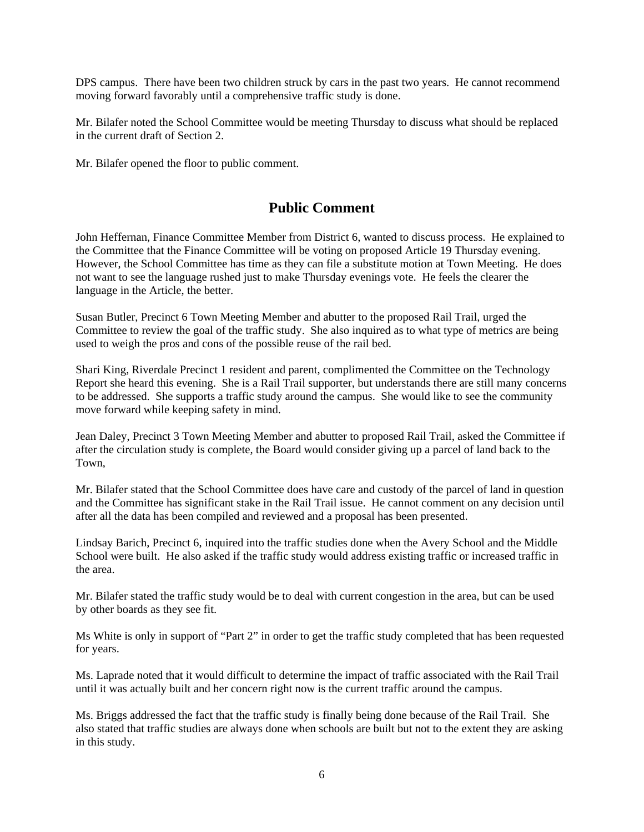DPS campus. There have been two children struck by cars in the past two years. He cannot recommend moving forward favorably until a comprehensive traffic study is done.

Mr. Bilafer noted the School Committee would be meeting Thursday to discuss what should be replaced in the current draft of Section 2.

Mr. Bilafer opened the floor to public comment.

### **Public Comment**

John Heffernan, Finance Committee Member from District 6, wanted to discuss process. He explained to the Committee that the Finance Committee will be voting on proposed Article 19 Thursday evening. However, the School Committee has time as they can file a substitute motion at Town Meeting. He does not want to see the language rushed just to make Thursday evenings vote. He feels the clearer the language in the Article, the better.

Susan Butler, Precinct 6 Town Meeting Member and abutter to the proposed Rail Trail, urged the Committee to review the goal of the traffic study. She also inquired as to what type of metrics are being used to weigh the pros and cons of the possible reuse of the rail bed.

Shari King, Riverdale Precinct 1 resident and parent, complimented the Committee on the Technology Report she heard this evening. She is a Rail Trail supporter, but understands there are still many concerns to be addressed. She supports a traffic study around the campus. She would like to see the community move forward while keeping safety in mind.

Jean Daley, Precinct 3 Town Meeting Member and abutter to proposed Rail Trail, asked the Committee if after the circulation study is complete, the Board would consider giving up a parcel of land back to the Town,

Mr. Bilafer stated that the School Committee does have care and custody of the parcel of land in question and the Committee has significant stake in the Rail Trail issue. He cannot comment on any decision until after all the data has been compiled and reviewed and a proposal has been presented.

Lindsay Barich, Precinct 6, inquired into the traffic studies done when the Avery School and the Middle School were built. He also asked if the traffic study would address existing traffic or increased traffic in the area.

Mr. Bilafer stated the traffic study would be to deal with current congestion in the area, but can be used by other boards as they see fit.

Ms White is only in support of "Part 2" in order to get the traffic study completed that has been requested for years.

Ms. Laprade noted that it would difficult to determine the impact of traffic associated with the Rail Trail until it was actually built and her concern right now is the current traffic around the campus.

Ms. Briggs addressed the fact that the traffic study is finally being done because of the Rail Trail. She also stated that traffic studies are always done when schools are built but not to the extent they are asking in this study.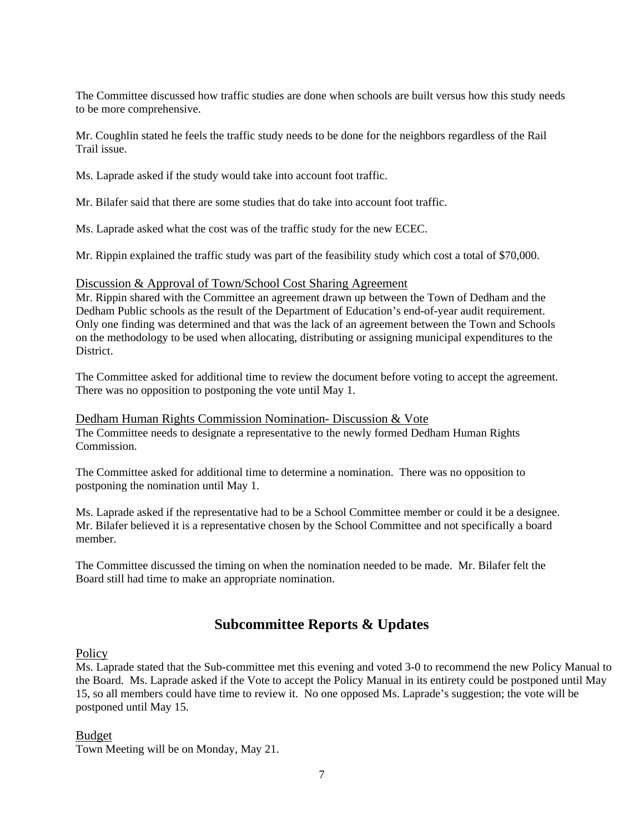The Committee discussed how traffic studies are done when schools are built versus how this study needs to be more comprehensive.

Mr. Coughlin stated he feels the traffic study needs to be done for the neighbors regardless of the Rail Trail issue.

Ms. Laprade asked if the study would take into account foot traffic.

Mr. Bilafer said that there are some studies that do take into account foot traffic.

Ms. Laprade asked what the cost was of the traffic study for the new ECEC.

Mr. Rippin explained the traffic study was part of the feasibility study which cost a total of \$70,000.

#### Discussion & Approval of Town/School Cost Sharing Agreement

Mr. Rippin shared with the Committee an agreement drawn up between the Town of Dedham and the Dedham Public schools as the result of the Department of Education's end-of-year audit requirement. Only one finding was determined and that was the lack of an agreement between the Town and Schools on the methodology to be used when allocating, distributing or assigning municipal expenditures to the District.

The Committee asked for additional time to review the document before voting to accept the agreement. There was no opposition to postponing the vote until May 1.

Dedham Human Rights Commission Nomination- Discussion & Vote The Committee needs to designate a representative to the newly formed Dedham Human Rights Commission.

The Committee asked for additional time to determine a nomination. There was no opposition to postponing the nomination until May 1.

Ms. Laprade asked if the representative had to be a School Committee member or could it be a designee. Mr. Bilafer believed it is a representative chosen by the School Committee and not specifically a board member.

The Committee discussed the timing on when the nomination needed to be made. Mr. Bilafer felt the Board still had time to make an appropriate nomination.

## **Subcommittee Reports & Updates**

**Policy** 

Ms. Laprade stated that the Sub-committee met this evening and voted 3-0 to recommend the new Policy Manual to the Board. Ms. Laprade asked if the Vote to accept the Policy Manual in its entirety could be postponed until May 15, so all members could have time to review it. No one opposed Ms. Laprade's suggestion; the vote will be postponed until May 15.

### Budget

Town Meeting will be on Monday, May 21.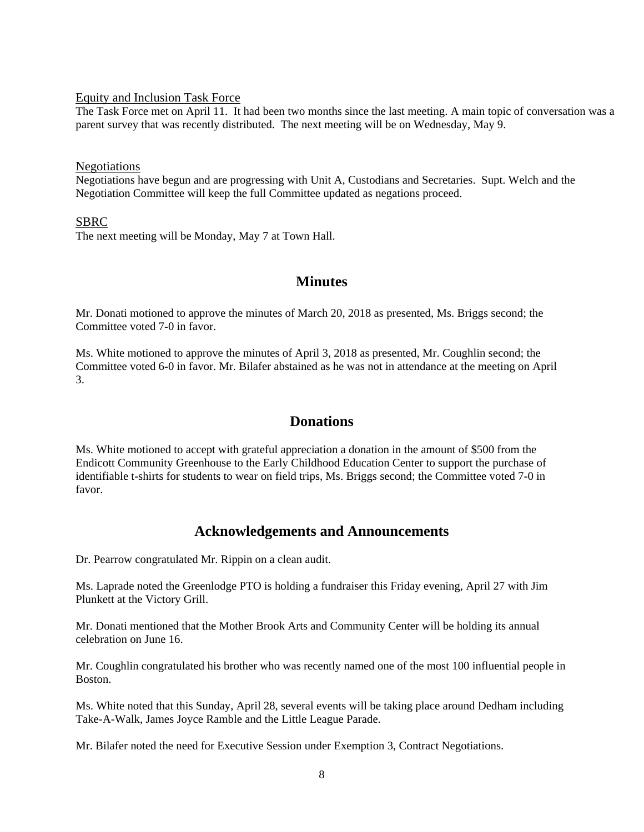#### Equity and Inclusion Task Force

The Task Force met on April 11. It had been two months since the last meeting. A main topic of conversation was a parent survey that was recently distributed. The next meeting will be on Wednesday, May 9.

#### Negotiations

Negotiations have begun and are progressing with Unit A, Custodians and Secretaries. Supt. Welch and the Negotiation Committee will keep the full Committee updated as negations proceed.

#### SBRC

The next meeting will be Monday, May 7 at Town Hall.

### **Minutes**

Mr. Donati motioned to approve the minutes of March 20, 2018 as presented, Ms. Briggs second; the Committee voted 7-0 in favor.

Ms. White motioned to approve the minutes of April 3, 2018 as presented, Mr. Coughlin second; the Committee voted 6-0 in favor. Mr. Bilafer abstained as he was not in attendance at the meeting on April 3.

### **Donations**

Ms. White motioned to accept with grateful appreciation a donation in the amount of \$500 from the Endicott Community Greenhouse to the Early Childhood Education Center to support the purchase of identifiable t-shirts for students to wear on field trips, Ms. Briggs second; the Committee voted 7-0 in favor.

### **Acknowledgements and Announcements**

Dr. Pearrow congratulated Mr. Rippin on a clean audit.

Ms. Laprade noted the Greenlodge PTO is holding a fundraiser this Friday evening, April 27 with Jim Plunkett at the Victory Grill.

Mr. Donati mentioned that the Mother Brook Arts and Community Center will be holding its annual celebration on June 16.

Mr. Coughlin congratulated his brother who was recently named one of the most 100 influential people in Boston.

Ms. White noted that this Sunday, April 28, several events will be taking place around Dedham including Take-A-Walk, James Joyce Ramble and the Little League Parade.

Mr. Bilafer noted the need for Executive Session under Exemption 3, Contract Negotiations.